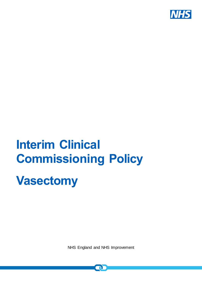

# **Interim Clinical Commissioning Policy**

## **Vasectomy**

NHS England and NHS Improvement

 $\mathbf{\Omega}$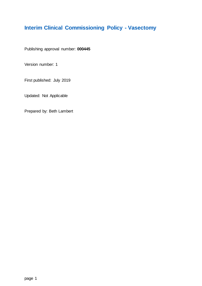## <span id="page-1-0"></span>**Interim Clinical Commissioning Policy - Vasectomy**

Publishing approval number: **000445**

Version number: 1

First published: July 2019

Updated: Not Applicable

Prepared by: Beth Lambert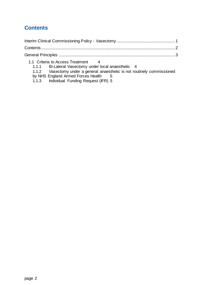## <span id="page-2-0"></span>**Contents**

| 1.1 Criteria to Access Treatment 4                                        |  |
|---------------------------------------------------------------------------|--|
| 1.1.1 Bi-Lateral Vasectomy under local anaesthetic 4                      |  |
| 1.1.2 Vasectomy under a general anaesthetic is not routinely commissioned |  |
| $\blacksquare$                                                            |  |

[by NHS England Armed Forces Health](#page-5-0) 5

1.1.3 [Individual Funding Request \(IFR\)](#page-5-1) 5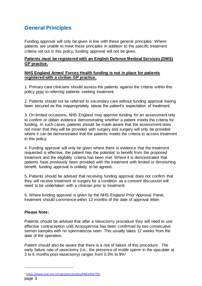## <span id="page-3-0"></span>**General Principles**

Funding approval will only be given in line with these general principles. Where patients are unable to meet these principles in addition to the specific treatment criteria set out in this policy, funding approval will not be given.

#### **Patients must be registered with an English Defence Medical Services (DMS) GP practice.**

#### **NHS England Armed Forces Health funding is not in place for patients registered with a civilian GP practice.**

1. Primary care clinicians should assess the patients against the criteria within this policy prior to referring patients seeking treatment.

2. Patients should not be referred to secondary care without funding approval having been secured as this inappropriately raises the patient's expectation of treatment.

3. On limited occasions, NHS England may approve funding for an assessment only to confirm or obtain evidence demonstrating whether a patient meets the criteria for funding. In such cases, patients should be made aware that the assessment does not mean that they will be provided with surgery and surgery will only be provided where it can be demonstrated that the patients meets the criteria to access treatment in this policy.

4. Funding approval will only be given where there is evidence that the treatment requested is effective, the patient has the potential to benefit from the proposed treatment and the eligibility criteria has been met. Where it is demonstrated that patients have previously been provided with the treatment with limited or diminishing benefit, funding approval is unlikely to be agreed.

5. Patients should be advised that receiving funding approval does not confirm that they will receive treatment or surgery for a condition as a consent discussion will need to be undertaken with a clinician prior to treatment.

6. Where funding approval is given by the NHS England Prior Approval Panel, treatment should commence within 12 months of the date of approval letter.

#### **Please Note:**

l

Patients should be advised that after a Vasectomy procedure they will need to use effective contraception until Azoospermia has been confirmed by two consecutive semen samples with no spermatozoa seen. This usually takes 12 weeks from the date of the operation.

Patient should also be aware that there is a risk of failure of this procedure. The early failure rate of vasectomy (i.e., the presence of motile sperm in the ejaculate at 3 to 6 months post-vasectomy) ranges from 0.3% to 9%<sup>1</sup>

page 3 <sup>1</sup> <https://www.ncbi.nlm.nih.gov/pmc/articles/PMC2950776/>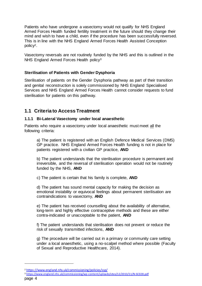Patients who have undergone a vasectomy would not qualify for NHS England Armed Forces Health funded fertility treatment in the future should they change their mind and wish to have a child, even if the procedure has been successfully reversed. This is in line with the NHS England Armed Forces Health Assisted Conception policy2.

Vasectomy reversals are not routinely funded by the NHS and this is outlined in the NHS England Armed Forces Health policy<sup>3</sup>

#### **Sterilisation of Patients with Gender Dysphoria**

Sterilisation of patients on the Gender Dysphoria pathway as part of their transition and genital reconstruction is solely commissioned by NHS England Specialised Services and NHS England Armed Forces Health cannot consider requests to fund sterilisation for patients on this pathway.

#### <span id="page-4-0"></span>**1.1 Criteria to Access Treatment**

#### <span id="page-4-1"></span>**1.1.1 Bi-Lateral Vasectomy under local anaesthetic**

Patients who require a vasectomy under local anaesthetic must meet all the following criteria:

a) The patient is registered with an English Defence Medical Services (DMS) GP practice. NHS England Armed Forces Health funding is not in place for patients registered with a civilian GP practice, **AND**

b) The patient understands that the sterilisation procedure is permanent and irreversible, and the reversal of sterilisation operation would not be routinely funded by the NHS, **AND** 

c) The patient is certain that his family is complete, **AND** 

d) The patient has sound mental capacity for making the decision as emotional instability or equivocal feelings about permanent sterilisation are contraindications to vasectomy, **AND** 

e) The patient has received counselling about the availability of alternative, long-term and highly effective contraceptive methods and these are either contra-indicated or unacceptable to the patient, **AND** 

f) The patient understands that sterilisation does not prevent or reduce the risk of sexually transmitted infections, **AND** 

g) The procedure will be carried out in a primary or community care setting under a local anaesthetic, using a no-scalpel method where possible (Faculty of Sexual and Reproductive Healthcare, 2014).

l

<sup>&</sup>lt;sup>2</sup> <https://www.england.nhs.uk/commissioning/policies/ssp/>

page 4 <sup>3</sup> <https://www.england.nhs.uk/commissioning/wp-content/uploads/sites/12/2013/11/N-SC028.pdf>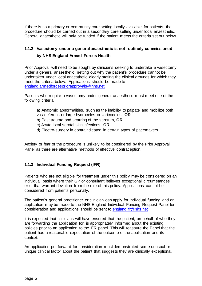If there is no a primary or community care setting locally available for patients, the procedure should be carried out in a secondary care setting under local anaesthetic. General anaesthetic will only be funded if the patient meets the criteria set out below.

#### <span id="page-5-0"></span>**1.1.2 Vasectomy under a general anaesthetic is not routinely commissioned by NHS England Armed Forces Health**

Prior Approval will need to be sought by clinicians seeking to undertake a vasectomy under a general anaesthetic, setting out why the patient's procedure cannot be undertaken under local anaesthetic clearly stating the clinical grounds for which they meet the criteria below. Applications should be made to [england.armedforcespriorapprovals@nhs.net](mailto:england.armedforcespriorapprovals@nhs.net)

Patients who require a vasectomy under general anaesthetic must meet one of the following criteria:

- a) Anatomic abnormalities, such as the inability to palpate and mobilize both vas deferens or large hydroceles or varicoceles, **OR**
- b) Past trauma and scarring of the scrotum, **OR**
- c) Acute local scrotal skin infections, **OR**
- d) Electro-surgery in contraindicated in certain types of pacemakers

Anxiety or fear of the procedure is unlikely to be considered by the Prior Approval Panel as there are alternative methods of effective contraception.

#### <span id="page-5-1"></span>**1.1.3 Individual Funding Request (IFR)**

Patients who are not eligible for treatment under this policy may be considered on an individual basis where their GP or consultant believes exceptional circumstances exist that warrant deviation from the rule of this policy. Applications cannot be considered from patients personally.

The patient's general practitioner or clinician can apply for individual funding and an application may be made to the NHS England Individual Funding Request Panel for consideration and applications should be sent to [england.ifr@nhs.net](mailto:england.ifr@nhs.net)

It is expected that clinicians will have ensured that the patient, on behalf of who they are forwarding the application for, is appropriately informed about the existing policies prior to an application to the IFR panel. This will reassure the Panel that the patient has a reasonable expectation of the outcome of the application and its context.

An application put forward for consideration must demonstrated some unusual or unique clinical factor about the patient that suggests they are clinically exceptional.